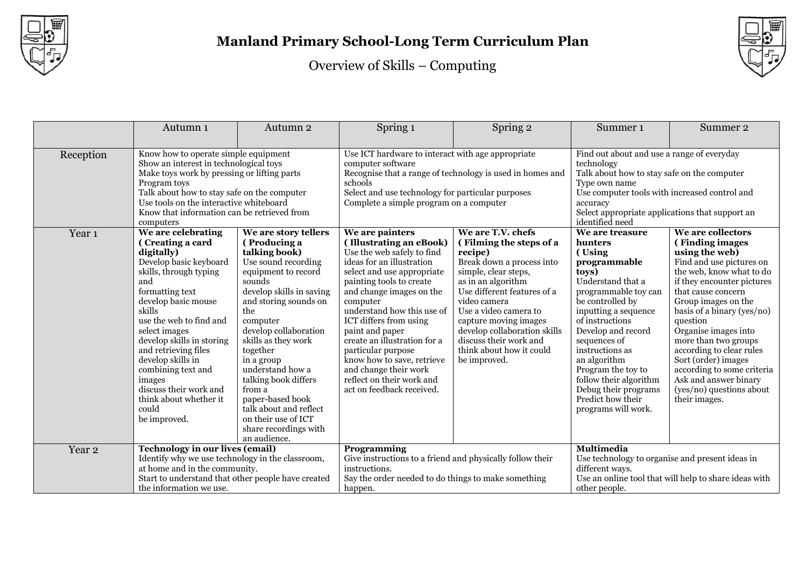



|                   | Autumn <sub>1</sub>                                                                                                                                                                                                                                                                                                                                                                                    | Autumn <sub>2</sub>                                                                                                                                                                                                                                                                                                                                                                                                                 | Spring 1                                                                                                                                                                                                                                                                                                                                                                                                                                                  | Spring 2                                                                                                                                                                                                                                                                                                                                  | Summer <sub>1</sub>                                                                                                                                                                                                                                                                                                                                                    | Summer 2                                                                                                                                                                                                                                                                                                                                                                                                                                   |
|-------------------|--------------------------------------------------------------------------------------------------------------------------------------------------------------------------------------------------------------------------------------------------------------------------------------------------------------------------------------------------------------------------------------------------------|-------------------------------------------------------------------------------------------------------------------------------------------------------------------------------------------------------------------------------------------------------------------------------------------------------------------------------------------------------------------------------------------------------------------------------------|-----------------------------------------------------------------------------------------------------------------------------------------------------------------------------------------------------------------------------------------------------------------------------------------------------------------------------------------------------------------------------------------------------------------------------------------------------------|-------------------------------------------------------------------------------------------------------------------------------------------------------------------------------------------------------------------------------------------------------------------------------------------------------------------------------------------|------------------------------------------------------------------------------------------------------------------------------------------------------------------------------------------------------------------------------------------------------------------------------------------------------------------------------------------------------------------------|--------------------------------------------------------------------------------------------------------------------------------------------------------------------------------------------------------------------------------------------------------------------------------------------------------------------------------------------------------------------------------------------------------------------------------------------|
|                   |                                                                                                                                                                                                                                                                                                                                                                                                        |                                                                                                                                                                                                                                                                                                                                                                                                                                     |                                                                                                                                                                                                                                                                                                                                                                                                                                                           |                                                                                                                                                                                                                                                                                                                                           |                                                                                                                                                                                                                                                                                                                                                                        |                                                                                                                                                                                                                                                                                                                                                                                                                                            |
| Reception         | Know how to operate simple equipment<br>Show an interest in technological toys<br>Make toys work by pressing or lifting parts<br>Program toys<br>Talk about how to stay safe on the computer<br>Use tools on the interactive whiteboard<br>Know that information can be retrieved from<br>computers                                                                                                    |                                                                                                                                                                                                                                                                                                                                                                                                                                     | Use ICT hardware to interact with age appropriate<br>computer software<br>Recognise that a range of technology is used in homes and<br>schools<br>Select and use technology for particular purposes<br>Complete a simple program on a computer                                                                                                                                                                                                            |                                                                                                                                                                                                                                                                                                                                           | Find out about and use a range of everyday<br>technology<br>Talk about how to stay safe on the computer<br>Type own name<br>Use computer tools with increased control and<br>accuracy<br>Select appropriate applications that support an<br>identified need                                                                                                            |                                                                                                                                                                                                                                                                                                                                                                                                                                            |
| Year <sub>1</sub> | We are celebrating<br>(Creating a card<br>digitally)<br>Develop basic keyboard<br>skills, through typing<br>and<br>formatting text<br>develop basic mouse<br>skills<br>use the web to find and<br>select images<br>develop skills in storing<br>and retrieving files<br>develop skills in<br>combining text and<br>images<br>discuss their work and<br>think about whether it<br>could<br>be improved. | We are story tellers<br>(Producing a<br>talking book)<br>Use sound recording<br>equipment to record<br>sounds<br>develop skills in saving<br>and storing sounds on<br>the<br>computer<br>develop collaboration<br>skills as they work<br>together<br>in a group<br>understand how a<br>talking book differs<br>from a<br>paper-based book<br>talk about and reflect<br>on their use of ICT<br>share recordings with<br>an audience. | We are painters<br>(Illustrating an eBook)<br>Use the web safely to find<br>ideas for an illustration<br>select and use appropriate<br>painting tools to create<br>and change images on the<br>computer<br>understand how this use of<br>ICT differs from using<br>paint and paper<br>create an illustration for a<br>particular purpose<br>know how to save, retrieve<br>and change their work<br>reflect on their work and<br>act on feedback received. | We are T.V. chefs<br>(Filming the steps of a<br>recipe)<br>Break down a process into<br>simple, clear steps,<br>as in an algorithm<br>Use different features of a<br>video camera<br>Use a video camera to<br>capture moving images<br>develop collaboration skills<br>discuss their work and<br>think about how it could<br>be improved. | We are treasure<br>hunters<br>(Using<br>programmable<br>toys)<br>Understand that a<br>programmable toy can<br>be controlled by<br>inputting a sequence<br>of instructions<br>Develop and record<br>sequences of<br>instructions as<br>an algorithm<br>Program the toy to<br>follow their algorithm<br>Debug their programs<br>Predict how their<br>programs will work. | We are collectors<br>(Finding images<br>using the web)<br>Find and use pictures on<br>the web, know what to do<br>if they encounter pictures<br>that cause concern<br>Group images on the<br>basis of a binary (yes/no)<br>question<br>Organise images into<br>more than two groups<br>according to clear rules<br>Sort (order) images<br>according to some criteria<br>Ask and answer binary<br>(yes/no) questions about<br>their images. |
| Year <sub>2</sub> | <b>Technology in our lives (email)</b>                                                                                                                                                                                                                                                                                                                                                                 |                                                                                                                                                                                                                                                                                                                                                                                                                                     | Programming                                                                                                                                                                                                                                                                                                                                                                                                                                               |                                                                                                                                                                                                                                                                                                                                           | <b>Multimedia</b>                                                                                                                                                                                                                                                                                                                                                      |                                                                                                                                                                                                                                                                                                                                                                                                                                            |
|                   | Identify why we use technology in the classroom,<br>at home and in the community.<br>Start to understand that other people have created<br>the information we use.                                                                                                                                                                                                                                     |                                                                                                                                                                                                                                                                                                                                                                                                                                     | Give instructions to a friend and physically follow their<br>instructions.<br>Say the order needed to do things to make something<br>happen.                                                                                                                                                                                                                                                                                                              |                                                                                                                                                                                                                                                                                                                                           | Use technology to organise and present ideas in<br>different ways.<br>Use an online tool that will help to share ideas with<br>other people.                                                                                                                                                                                                                           |                                                                                                                                                                                                                                                                                                                                                                                                                                            |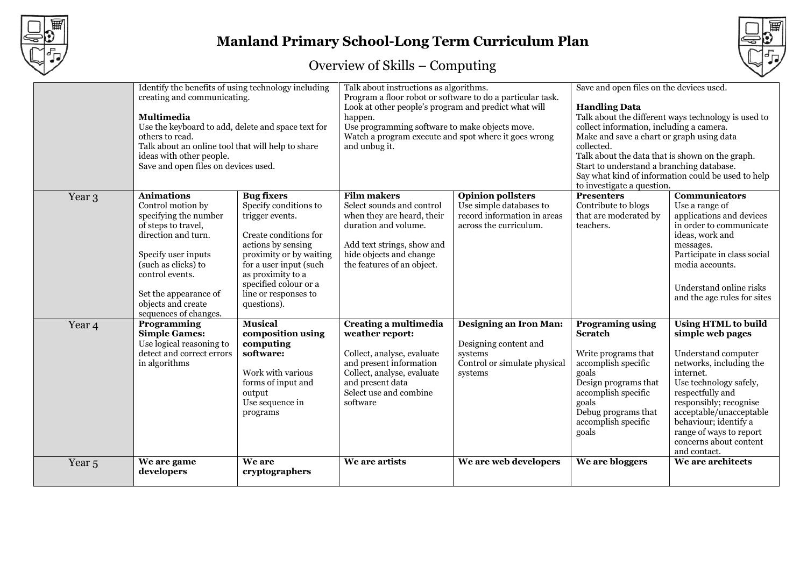

# **Manland Primary School-Long Term Curriculum Plan**



|                   | Identify the benefits of using technology including<br>creating and communicating.<br><b>Multimedia</b><br>Use the keyboard to add, delete and space text for<br>others to read.<br>Talk about an online tool that will help to share<br>ideas with other people.<br>Save and open files on devices used. |                                                                                                                                                                                                                                                        | Talk about instructions as algorithms.<br>Program a floor robot or software to do a particular task.<br>Look at other people's program and predict what will<br>happen.<br>Use programming software to make objects move.<br>Watch a program execute and spot where it goes wrong<br>and unbug it. |                                                                                                              | Save and open files on the devices used.<br><b>Handling Data</b><br>Talk about the different ways technology is used to<br>collect information, including a camera.<br>Make and save a chart or graph using data<br>collected.<br>Talk about the data that is shown on the graph.<br>Start to understand a branching database.<br>Say what kind of information could be used to help<br>to investigate a question. |                                                                                                                                                                                                                                                                                                                |
|-------------------|-----------------------------------------------------------------------------------------------------------------------------------------------------------------------------------------------------------------------------------------------------------------------------------------------------------|--------------------------------------------------------------------------------------------------------------------------------------------------------------------------------------------------------------------------------------------------------|----------------------------------------------------------------------------------------------------------------------------------------------------------------------------------------------------------------------------------------------------------------------------------------------------|--------------------------------------------------------------------------------------------------------------|--------------------------------------------------------------------------------------------------------------------------------------------------------------------------------------------------------------------------------------------------------------------------------------------------------------------------------------------------------------------------------------------------------------------|----------------------------------------------------------------------------------------------------------------------------------------------------------------------------------------------------------------------------------------------------------------------------------------------------------------|
| Year 3            | <b>Animations</b><br>Control motion by<br>specifying the number<br>of steps to travel,<br>direction and turn.<br>Specify user inputs<br>(such as clicks) to<br>control events.<br>Set the appearance of<br>objects and create<br>sequences of changes.                                                    | <b>Bug fixers</b><br>Specify conditions to<br>trigger events.<br>Create conditions for<br>actions by sensing<br>proximity or by waiting<br>for a user input (such<br>as proximity to a<br>specified colour or a<br>line or responses to<br>questions). | <b>Film makers</b><br>Select sounds and control<br>when they are heard, their<br>duration and volume.<br>Add text strings, show and<br>hide objects and change<br>the features of an object.                                                                                                       | <b>Opinion pollsters</b><br>Use simple databases to<br>record information in areas<br>across the curriculum. | <b>Presenters</b><br>Contribute to blogs<br>that are moderated by<br>teachers.                                                                                                                                                                                                                                                                                                                                     | <b>Communicators</b><br>Use a range of<br>applications and devices<br>in order to communicate<br>ideas, work and<br>messages.<br>Participate in class social<br>media accounts.<br>Understand online risks<br>and the age rules for sites                                                                      |
| Year 4            | Programming<br><b>Simple Games:</b><br>Use logical reasoning to<br>detect and correct errors<br>in algorithms                                                                                                                                                                                             | <b>Musical</b><br>composition using<br>computing<br>software:<br>Work with various<br>forms of input and<br>output<br>Use sequence in<br>programs                                                                                                      | Creating a multimedia<br>weather report:<br>Collect, analyse, evaluate<br>and present information<br>Collect, analyse, evaluate<br>and present data<br>Select use and combine<br>software                                                                                                          | Designing an Iron Man:<br>Designing content and<br>systems<br>Control or simulate physical<br>systems        | <b>Programing using</b><br><b>Scratch</b><br>Write programs that<br>accomplish specific<br>goals<br>Design programs that<br>accomplish specific<br>goals<br>Debug programs that<br>accomplish specific<br>goals                                                                                                                                                                                                    | <b>Using HTML to build</b><br>simple web pages<br>Understand computer<br>networks, including the<br>internet.<br>Use technology safely,<br>respectfully and<br>responsibly; recognise<br>acceptable/unacceptable<br>behaviour; identify a<br>range of ways to report<br>concerns about content<br>and contact. |
| Year <sub>5</sub> | We are game<br>developers                                                                                                                                                                                                                                                                                 | We are<br>cryptographers                                                                                                                                                                                                                               | We are artists                                                                                                                                                                                                                                                                                     | We are web developers                                                                                        | We are bloggers                                                                                                                                                                                                                                                                                                                                                                                                    | We are architects                                                                                                                                                                                                                                                                                              |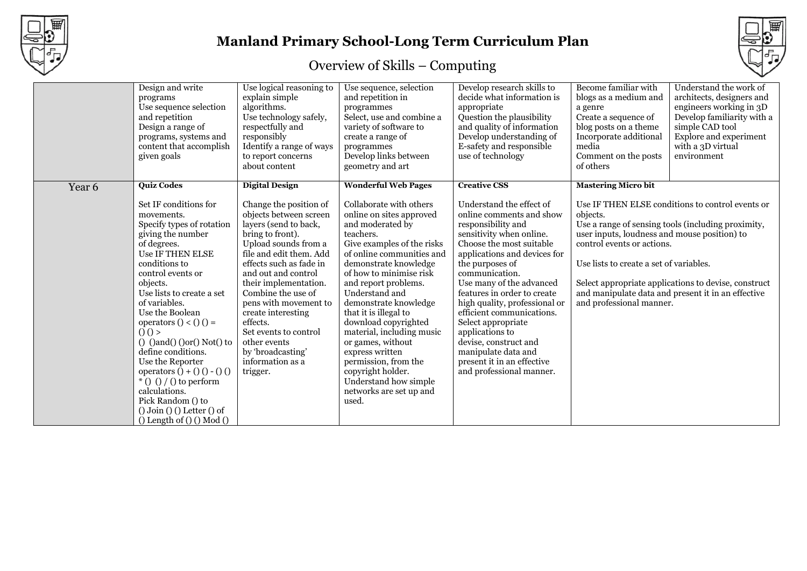

# **Manland Primary School-Long Term Curriculum Plan**

| Design and write<br>programs<br>Use sequence selection<br>and repetition<br>Design a range of<br>programs, systems and<br>content that accomplish<br>given goals                                                                                                                                                                                                                                                                                                                                                                                                              | Use logical reasoning to<br>explain simple<br>algorithms.<br>Use technology safely,<br>respectfully and<br>responsibly<br>Identify a range of ways<br>to report concerns<br>about content                                                                                                                                                                                                                                           | Use sequence, selection<br>and repetition in<br>programmes<br>Select, use and combine a<br>variety of software to<br>create a range of<br>programmes<br>Develop links between<br>geometry and art                                                                                                                                                                                                                                                                                                                                    | Develop research skills to<br>decide what information is<br>appropriate<br>Question the plausibility<br>and quality of information<br>Develop understanding of<br>E-safety and responsible<br>use of technology                                                                                                                                                                                                                                                                                            | Become familiar with<br>blogs as a medium and<br>a genre<br>Create a sequence of<br>blog posts on a theme<br>Incorporate additional<br>media<br>Comment on the posts<br>of others                                                                                                                                                                                                                                   | Understand the work of<br>architects, designers and<br>engineers working in 3D<br>Develop familiarity with a<br>simple CAD tool<br>Explore and experiment<br>with a 3D virtual<br>environment |
|-------------------------------------------------------------------------------------------------------------------------------------------------------------------------------------------------------------------------------------------------------------------------------------------------------------------------------------------------------------------------------------------------------------------------------------------------------------------------------------------------------------------------------------------------------------------------------|-------------------------------------------------------------------------------------------------------------------------------------------------------------------------------------------------------------------------------------------------------------------------------------------------------------------------------------------------------------------------------------------------------------------------------------|--------------------------------------------------------------------------------------------------------------------------------------------------------------------------------------------------------------------------------------------------------------------------------------------------------------------------------------------------------------------------------------------------------------------------------------------------------------------------------------------------------------------------------------|------------------------------------------------------------------------------------------------------------------------------------------------------------------------------------------------------------------------------------------------------------------------------------------------------------------------------------------------------------------------------------------------------------------------------------------------------------------------------------------------------------|---------------------------------------------------------------------------------------------------------------------------------------------------------------------------------------------------------------------------------------------------------------------------------------------------------------------------------------------------------------------------------------------------------------------|-----------------------------------------------------------------------------------------------------------------------------------------------------------------------------------------------|
| <b>Ouiz Codes</b><br>Year 6<br>Set IF conditions for<br>movements.<br>Specify types of rotation<br>giving the number<br>of degrees.<br>Use IF THEN ELSE<br>conditions to<br>control events or<br>objects.<br>Use lists to create a set<br>of variables.<br>Use the Boolean<br>operators () < () () =<br>()()<br>$()$ $()$ and $()$ $()$ or $()$ Not $()$ to<br>define conditions.<br>Use the Reporter<br>operators $() + () () - () ()$<br>$*$ () () / () to perform<br>calculations.<br>Pick Random () to<br>$()$ Join $()$ $()$ Letter $()$ of<br>() Length of $()() Mod()$ | <b>Digital Design</b><br>Change the position of<br>objects between screen<br>layers (send to back,<br>bring to front).<br>Upload sounds from a<br>file and edit them. Add<br>effects such as fade in<br>and out and control<br>their implementation.<br>Combine the use of<br>pens with movement to<br>create interesting<br>effects.<br>Set events to control<br>other events<br>by 'broadcasting'<br>information as a<br>trigger. | <b>Wonderful Web Pages</b><br>Collaborate with others<br>online on sites approved<br>and moderated by<br>teachers.<br>Give examples of the risks<br>of online communities and<br>demonstrate knowledge<br>of how to minimise risk<br>and report problems.<br>Understand and<br>demonstrate knowledge<br>that it is illegal to<br>download copyrighted<br>material, including music<br>or games, without<br>express written<br>permission, from the<br>copyright holder.<br>Understand how simple<br>networks are set up and<br>used. | <b>Creative CSS</b><br>Understand the effect of<br>online comments and show<br>responsibility and<br>sensitivity when online.<br>Choose the most suitable<br>applications and devices for<br>the purposes of<br>communication.<br>Use many of the advanced<br>features in order to create<br>high quality, professional or<br>efficient communications.<br>Select appropriate<br>applications to<br>devise, construct and<br>manipulate data and<br>present it in an effective<br>and professional manner. | <b>Mastering Micro bit</b><br>Use IF THEN ELSE conditions to control events or<br>objects.<br>Use a range of sensing tools (including proximity,<br>user inputs, loudness and mouse position) to<br>control events or actions.<br>Use lists to create a set of variables.<br>Select appropriate applications to devise, construct<br>and manipulate data and present it in an effective<br>and professional manner. |                                                                                                                                                                                               |